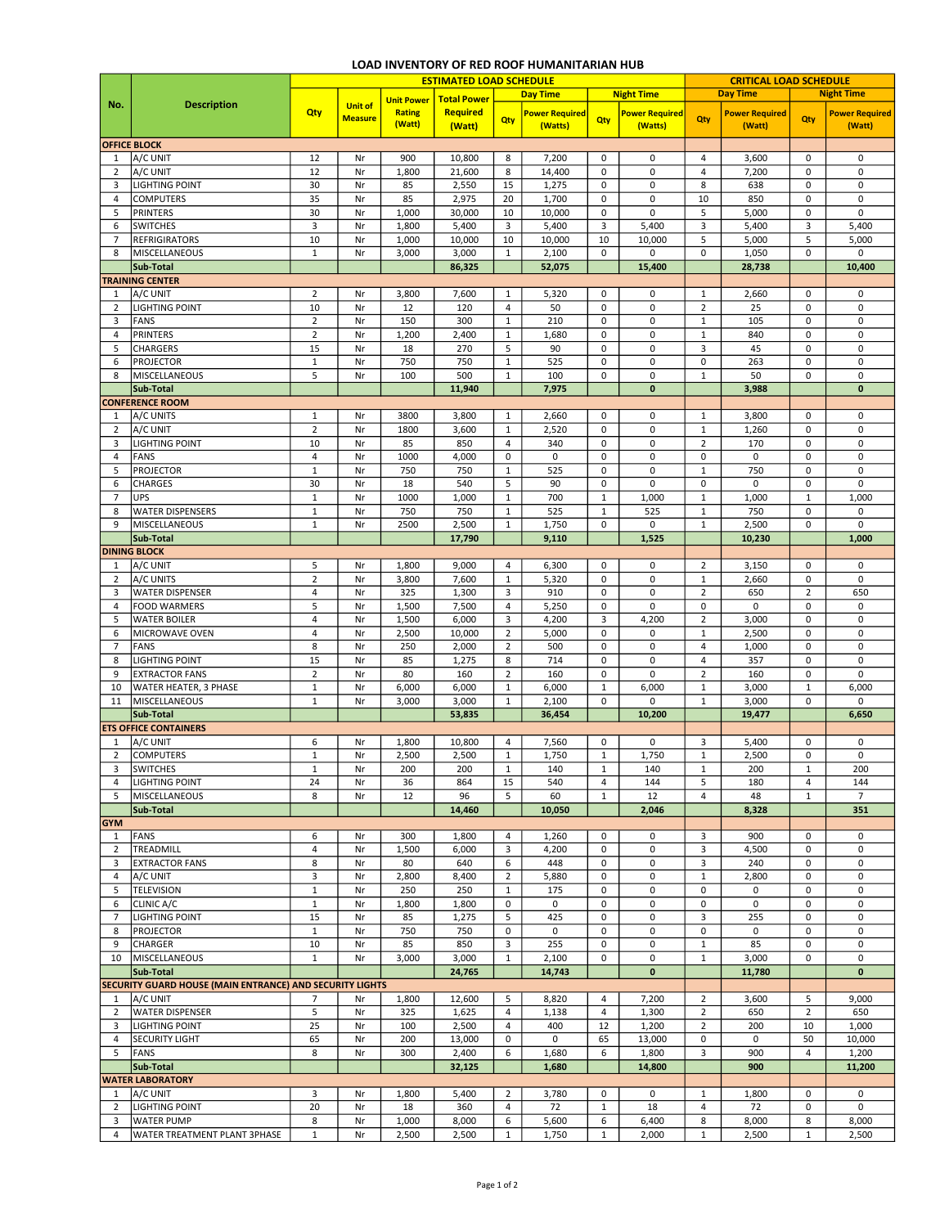## LOAD INVENTORY OF RED ROOF HUMANITARIAN HUB

|                     |                                                          | <b>ESTIMATED LOAD SCHEDULE</b> |                |                   |                    |                |                       |                   |                       |                | <b>CRITICAL LOAD SCHEDULE</b> |                |                       |  |
|---------------------|----------------------------------------------------------|--------------------------------|----------------|-------------------|--------------------|----------------|-----------------------|-------------------|-----------------------|----------------|-------------------------------|----------------|-----------------------|--|
|                     |                                                          |                                |                | <b>Unit Power</b> | <b>Total Power</b> |                | <b>Day Time</b>       | <b>Night Time</b> |                       |                | <b>Day Time</b>               |                | <b>Night Time</b>     |  |
| No.                 | <b>Description</b>                                       | Qty                            | <b>Unit of</b> | <b>Rating</b>     | <b>Required</b>    |                | <b>Power Required</b> |                   | <b>Power Required</b> |                | <b>Power Required</b>         |                | <b>Power Required</b> |  |
|                     |                                                          |                                | <b>Measure</b> | (Watt)            | (Watt)             | Qty            | (Watts)               | Qty               | (Watts)               | Qty            | (Watt)                        | Qty            | (Watt)                |  |
| <b>OFFICE BLOCK</b> |                                                          |                                |                |                   |                    |                |                       |                   |                       |                |                               |                |                       |  |
| 1                   | A/C UNIT                                                 | 12                             | Nr             | 900               | 10,800             | 8              | 7,200                 | 0                 | 0                     | 4              | 3,600                         | 0              | 0                     |  |
| $\overline{2}$      | A/C UNIT                                                 | 12                             | Nr             | 1,800             | 21,600             | 8              | 14,400                | $\pmb{0}$         | $\pmb{0}$             | $\overline{4}$ | 7,200                         | 0              | 0                     |  |
| 3                   | <b>LIGHTING POINT</b>                                    | 30                             | Nr             | 85                | 2,550              | 15             | 1,275                 | 0                 | $\pmb{0}$             | 8              | 638                           | 0              | 0                     |  |
| $\overline{4}$      | <b>COMPUTERS</b>                                         | 35                             | Nr             | 85                | 2,975              | 20             | 1,700                 | 0                 | 0                     | 10             | 850                           | 0              | $\pmb{0}$             |  |
| 5                   | <b>PRINTERS</b>                                          | 30                             | Nr             | 1,000             | 30,000             | 10             | 10,000                | 0                 | 0                     | 5              | 5,000                         | $\pmb{0}$      | $\pmb{0}$             |  |
| 6                   | <b>SWITCHES</b>                                          | 3                              | Nr             | 1,800             | 5,400              | 3              | 5,400                 | 3                 | 5,400                 | $\mathsf 3$    | 5,400                         | 3              | 5,400                 |  |
| 7                   | <b>REFRIGIRATORS</b>                                     | 10                             | Nr             | 1,000             | 10,000             | 10             | 10,000                | 10                | 10,000                | 5              | 5,000                         | 5              | 5,000                 |  |
| 8                   | MISCELLANEOUS                                            | $\mathbf 1$                    | Nr             | 3,000             | 3,000              | $1\,$          | 2,100                 | $\mathbf 0$       | 0                     | $\mathbf 0$    | 1,050                         | 0              | 0                     |  |
|                     | Sub-Total                                                |                                |                |                   | 86,325             |                | 52,075                |                   | 15,400                |                | 28,738                        |                | 10,400                |  |
|                     | <b>TRAINING CENTER</b>                                   |                                |                |                   |                    |                |                       |                   |                       |                |                               |                |                       |  |
| 1                   | A/C UNIT                                                 | $\mathbf 2$                    | Nr             | 3,800             | 7,600              | $1\,$          | 5,320                 | 0                 | 0                     | $\mathbf{1}$   | 2,660                         | 0              | $\mathbf 0$           |  |
| $\overline{2}$      | <b>LIGHTING POINT</b>                                    | 10                             | Nr             | 12                | 120                | $\overline{4}$ | 50                    | $\pmb{0}$         | $\pmb{0}$             | $\overline{2}$ | 25                            | 0              | 0                     |  |
| 3                   | FANS                                                     | $\mathbf 2$                    | Nr             | 150               | 300                | $\mathbf{1}$   | 210                   | 0                 | $\pmb{0}$             | $\mathbf{1}$   | 105                           | 0              | 0                     |  |
| $\overline{4}$      | <b>PRINTERS</b>                                          | $\overline{2}$                 | Nr             | 1,200             | 2,400              | $1\,$          | 1,680                 | 0                 | $\pmb{0}$             | $\overline{1}$ | 840                           | 0              | $\pmb{0}$             |  |
| 5                   | CHARGERS                                                 | 15                             | Nr             | 18                | 270                | 5              | 90                    | $\mathbf 0$       | $\pmb{0}$             | 3              | 45                            | 0              | $\pmb{0}$             |  |
| 6                   | <b>PROJECTOR</b>                                         | $\mathbf{1}$                   | Nr             | 750               | 750                | 1              | 525                   | $\pmb{0}$         | 0                     | 0              | 263                           | 0              | 0                     |  |
| 8                   | MISCELLANEOUS                                            | 5                              | Nr             | 100               | 500                | $\mathbf{1}$   | 100                   | 0                 | 0                     | $\mathbf{1}$   | 50                            | 0              | $\pmb{0}$             |  |
|                     | Sub-Total                                                |                                |                |                   | 11,940             |                | 7,975                 |                   | $\mathbf 0$           |                | 3,988                         |                | $\bf{0}$              |  |
|                     | <b>CONFERENCE ROOM</b>                                   |                                |                |                   |                    |                |                       |                   |                       |                |                               |                |                       |  |
| 1                   | A/C UNITS                                                | $\mathbf 1$                    | Nr             | 3800              | 3,800              | $\mathbf{1}$   | 2,660                 | $\pmb{0}$         | $\pmb{0}$             | $\mathbf{1}$   | 3,800                         | 0              | $\mathbf 0$           |  |
| $\overline{2}$      | A/C UNIT                                                 | $\mathbf 2$                    | Nr             | 1800              | 3,600              | $\mathbf{1}$   | 2,520                 | $\pmb{0}$         | 0                     | $\mathbf{1}$   | 1,260                         | 0              | $\pmb{0}$             |  |
| 3                   | <b>LIGHTING POINT</b>                                    | 10                             | Nr             | 85                | 850                | 4              | 340                   | 0                 | 0                     | $\overline{2}$ | 170                           | 0              | 0                     |  |
| 4                   | <b>FANS</b>                                              | 4                              | Nr             | 1000              | 4,000              | 0              | 0                     | 0                 | 0                     | $\mathbf 0$    | 0                             | 0              | $\pmb{0}$             |  |
| 5                   | <b>PROJECTOR</b>                                         | $1\,$                          | Nr             | 750               | 750                | $1\,$          | 525                   | $\pmb{0}$         | 0                     | $\mathbf{1}$   | 750                           | 0              | $\pmb{0}$             |  |
| 6                   | <b>CHARGES</b>                                           | 30                             | Nr             | 18                | 540                | 5              | 90                    | $\pmb{0}$         | 0                     | $\mathbf 0$    | 0                             | 0              | $\pmb{0}$             |  |
| $\overline{7}$      | <b>UPS</b>                                               | $\mathbf 1$                    | Nr             | 1000              | 1,000              | 1              | 700                   | 1                 | 1,000                 | $\mathbf{1}$   | 1,000                         | 1              | 1,000                 |  |
| 8                   | <b>WATER DISPENSERS</b>                                  | $\mathbf 1$                    | Nr             | 750               | 750                | $\mathbf{1}$   | 525                   | $\mathbf 1$       | 525                   | $\mathbf{1}$   | 750                           | 0              | 0                     |  |
| 9                   | MISCELLANEOUS                                            | $\mathbf 1$                    | Nr             | 2500              | 2,500              | $\mathbf{1}$   | 1,750                 | 0                 | 0                     | $\mathbf{1}$   | 2,500                         | 0              | $\pmb{0}$             |  |
|                     | Sub-Total                                                |                                |                |                   | 17,790             |                | 9,110                 |                   | 1,525                 |                | 10,230                        |                | 1,000                 |  |
|                     | <b>DINING BLOCK</b>                                      |                                |                |                   |                    |                |                       |                   |                       |                |                               |                |                       |  |
| 1                   | A/C UNIT                                                 | 5                              | Nr             | 1,800             | 9,000              | 4              | 6,300                 | 0                 | 0                     | $\overline{2}$ | 3,150                         | $\mathbf 0$    | $\mathbf 0$           |  |
| $\overline{2}$      | A/C UNITS                                                | $\overline{2}$                 | Nr             | 3,800             | 7,600              | $\mathbf{1}$   | 5,320                 | 0                 | 0                     | $\mathbf{1}$   | 2,660                         | $\pmb{0}$      | $\mathbf 0$           |  |
| 3                   | <b>WATER DISPENSER</b>                                   | 4                              | Nr             | 325               | 1,300              | 3              | 910                   | 0                 | 0                     | $\overline{2}$ | 650                           | $\overline{2}$ | 650                   |  |
| 4                   | <b>FOOD WARMERS</b>                                      | 5                              | Nr             | 1,500             | 7,500              | 4              | 5,250                 | 0                 | 0                     | 0              | 0                             | 0              | 0                     |  |
| 5                   | <b>WATER BOILER</b>                                      | 4                              | Nr             | 1,500             | 6,000              | 3              | 4,200                 | 3                 | 4,200                 | 2              | 3,000                         | 0              | 0                     |  |
| 6                   | MICROWAVE OVEN                                           | 4                              | Nr             | 2,500             | 10,000             | $\mathbf 2$    | 5,000                 | $\pmb{0}$         | 0                     | $\mathbf{1}$   | 2,500                         | 0              | $\pmb{0}$             |  |
| $\overline{7}$      | FANS                                                     | 8                              | Nr             | 250               | 2,000              | $\overline{2}$ | 500                   | $\pmb{0}$         | $\pmb{0}$             | $\overline{4}$ | 1,000                         | 0              | $\pmb{0}$             |  |
| 8                   | <b>LIGHTING POINT</b>                                    | 15                             | Nr             | 85                | 1,275              | 8              | 714                   | $\pmb{0}$         | 0                     | 4              | 357                           | 0              | 0                     |  |
| 9                   | <b>EXTRACTOR FANS</b>                                    | $\overline{2}$                 | Nr             | 80                | 160                | $\overline{2}$ | 160                   | 0                 | 0                     | $\overline{2}$ | 160                           | 0              | $\mathbf 0$           |  |
| 10                  | WATER HEATER, 3 PHASE                                    | $\mathbf 1$                    | Nr             | 6,000             | 6,000              | 1              | 6,000                 | $\mathbf{1}$      | 6,000                 | $\,1\,$        | 3,000                         | 1              | 6,000                 |  |
| 11                  | <b>MISCELLANEOUS</b>                                     | $\mathbf{1}$                   | Nr             | 3,000             | 3,000              | $\mathbf{1}$   | 2,100                 | 0                 | 0                     | $\mathbf{1}$   | 3,000                         | 0              | $\mathbf 0$           |  |
|                     | Sub-Total                                                |                                |                |                   | 53,835             |                | 36,454                |                   | 10,200                |                | 19,477                        |                | 6,650                 |  |
|                     | <b>ETS OFFICE CONTAINERS</b>                             |                                |                |                   |                    |                |                       |                   |                       |                |                               |                |                       |  |
| 1                   | A/C UNIT                                                 | 6                              | Nr             | 1,800             | 10,800             | 4              | 7,560                 | 0                 | 0                     | 3              | 5,400                         | $\pmb{0}$      | 0                     |  |
| $\overline{2}$      | <b>COMPUTERS</b>                                         | $\mathbf 1$                    | Nr             | 2,500             | 2,500              | $\mathbf{1}$   | 1,750                 | $\mathbf{1}$      | 1,750                 | $\mathbf{1}$   | 2,500                         | $\Omega$       | 0                     |  |
| 3                   | <b>SWITCHES</b>                                          | ı                              | Nr             | 200               | 200                | 1              | 140                   | 1                 | 140                   | ı              | 200                           | ı              | 200                   |  |
| 4                   | <b>LIGHTING POINT</b>                                    | 24                             | Nr             | 36                | 864                | 15             | 540                   | $\overline{4}$    | 144                   | 5              | 180                           | 4              | 144                   |  |
| 5                   | <b>MISCELLANEOUS</b>                                     | 8                              | Nr             | 12                | 96                 | 5              | 60                    | $\mathbf{1}$      | 12                    | $\overline{4}$ | 48                            | $\mathbf 1$    | $\overline{7}$        |  |
|                     | Sub-Total                                                |                                |                |                   | 14,460             |                | 10,050                |                   | 2,046                 |                | 8,328                         |                | 351                   |  |
| <b>GYM</b>          |                                                          |                                |                |                   |                    |                |                       |                   |                       |                |                               |                |                       |  |
| 1                   | FANS                                                     | 6                              | Nr             | 300               | 1,800              | $\overline{4}$ | 1,260                 | 0                 | 0                     | 3              | 900                           | 0              | $\mathbf 0$           |  |
| $\overline{2}$      | TREADMILL                                                | 4                              | Nr             | 1,500             | 6,000              | 3              | 4,200                 | 0                 | 0                     | 3              | 4,500                         | $\pmb{0}$      | 0                     |  |
| 3                   | <b>EXTRACTOR FANS</b>                                    | 8                              | Nr             | 80                | 640                | 6              | 448                   | 0                 | 0                     | 3              | 240                           | $\pmb{0}$      | $\mathbf 0$           |  |
| 4                   | A/C UNIT                                                 | 3                              | Nr             | 2,800             | 8,400              | $\overline{2}$ | 5,880                 | 0                 | $\pmb{0}$             | $\mathbf{1}$   | 2,800                         | $\pmb{0}$      | 0                     |  |
| 5                   | <b>TELEVISION</b>                                        | $\mathbf 1$                    | Nr             | 250               | 250                | 1              | 175                   | $\pmb{0}$         | 0                     | 0              | 0                             | 0              | $\mathbf 0$           |  |
| 6                   | CLINIC A/C                                               | $\mathbf 1$                    | Nr             | 1,800             | 1,800              | $\mathsf 0$    | 0                     | 0                 | 0                     | $\mathbf 0$    | 0                             | 0              | $\pmb{0}$             |  |
| $\overline{7}$      | <b>LIGHTING POINT</b>                                    | 15                             | Nr             | 85                | 1,275              | 5              | 425                   | $\mathbf 0$       | 0                     | 3              | 255                           | 0              | $\mathbf 0$           |  |
| 8                   | <b>PROJECTOR</b>                                         | $\mathbf{1}$                   | Nr             | 750               | 750                | $\pmb{0}$      | 0                     | $\mathbf 0$       | 0                     | $\mathbf 0$    | 0                             | 0              | $\pmb{0}$             |  |
| 9                   | <b>CHARGER</b>                                           | 10                             | Nr             | 85                | 850                | 3              | 255                   | $\pmb{0}$         | 0                     | $\mathbf{1}$   | 85                            | 0              | 0                     |  |
| 10                  | <b>MISCELLANEOUS</b>                                     | $\mathbf{1}$                   | Nr             | 3,000             | 3,000              | $\mathbf 1$    | 2,100                 | $\pmb{0}$         | 0                     | $\mathbf{1}$   | 3,000                         | 0              | 0                     |  |
|                     | Sub-Total                                                |                                |                |                   | 24,765             |                | 14,743                |                   | $\bf{0}$              |                | 11,780                        |                | $\mathbf{0}$          |  |
|                     | SECURITY GUARD HOUSE (MAIN ENTRANCE) AND SECURITY LIGHTS |                                |                |                   |                    |                |                       |                   |                       |                |                               |                |                       |  |
| 1                   | A/C UNIT                                                 | 7                              | Nr             | 1,800             | 12,600             | 5              | 8,820                 | 4                 | 7,200                 | $\overline{2}$ | 3,600                         | 5              | 9,000                 |  |
| 2                   | <b>WATER DISPENSER</b>                                   | 5                              | Nr             | 325               | 1,625              | 4              | 1,138                 | 4                 | 1,300                 | $\overline{2}$ | 650                           | $\overline{2}$ | 650                   |  |
| 3                   | <b>LIGHTING POINT</b>                                    | 25                             | Nr             | 100               | 2,500              | 4              | 400                   | 12                | 1,200                 | $\overline{2}$ | 200                           | 10             | 1,000                 |  |
| 4                   | <b>SECURITY LIGHT</b>                                    | 65                             | Nr             | 200               | 13,000             | 0              | 0                     | 65                | 13,000                | 0              | $\mathbf 0$                   | 50             | 10,000                |  |
| 5                   | <b>FANS</b>                                              | 8                              | Nr             | 300               | 2,400              | 6              | 1,680                 | 6                 | 1,800                 | 3              | 900                           | 4              | 1,200                 |  |
|                     | Sub-Total                                                |                                |                |                   | 32,125             |                | 1,680                 |                   | 14,800                |                | 900                           |                | 11,200                |  |
|                     | <b>WATER LABORATORY</b>                                  |                                |                |                   |                    |                |                       |                   |                       |                |                               |                |                       |  |
| 1                   | A/C UNIT                                                 | 3                              | Nr             | 1,800             | 5,400              | $\overline{2}$ | 3,780                 | $\mathbf 0$       | 0                     | $\mathbf{1}$   | 1,800                         | 0              | $\mathbf 0$           |  |
| $\overline{2}$      | <b>LIGHTING POINT</b>                                    | 20                             | Nr             | 18                | 360                | $\overline{4}$ | 72                    | $\mathbf{1}$      | 18                    | $\overline{4}$ | 72                            | 0              | 0                     |  |
| 3                   | <b>WATER PUMP</b>                                        | 8                              | Nr             | 1,000             | 8,000              | 6              | 5,600                 | 6                 | 6,400                 | 8              | 8,000                         | 8              | 8,000                 |  |
| 4                   | <b>WATER TREATMENT PLANT 3PHASE</b>                      | $\mathbf 1$                    | Nr             | 2,500             | 2,500              | $1\,$          | 1,750                 | $\mathbf{1}$      | 2,000                 | $\mathbf{1}$   | 2,500                         | $1\,$          | 2,500                 |  |